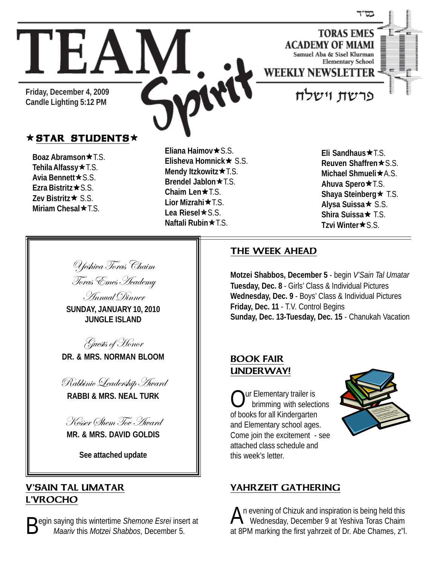

**Friday, December 4, 2009 Candle Lighting 5:12 PM**

#### $\star$  STAR STUDENTS $\star$

TEAM

**Boaz Abramson ★ T.S.** Tehila Alfassy**\*** T.S. **Avia Bennett ★ S.S. Ezra Bistritz**ÕS.S. **Zev Bistritz★ S.S. Miriam Chesal**  $\star$  **T.S.** 

**Eliana Haimov ★ S.S. Elisheva Homnick ★ S.S. Mendy Itzkowitz ★ T.S. Brendel Jablon ★ T.S. Chaim Len**★T.S. **Lior Mizrahi** $\star$ **T.S.** Lea Riesel**\***S.S. **Naftali Rubin**★T.S.

**Eli Sandhaus★T.S. Reuven Shaffren ★ S.S. Michael Shmueli ★ A.S. Ahuva Spero**★T.S. **Shaya Steinberg**  $\star$  **T.S. Alysa Suissa**Õ S.S. **Shira Suissa**Õ T.S. **Tzvi Winter★S.S.** 

Yeshiva Toras Chaim Toras Emes Academy

Annual Dinner **SUNDAY, JANUARY 10, 2010 JUNGLE ISLAND**

Guests of Honor

**DR. & MRS. NORMAN BLOOM**



**RABBI & MRS. NEAL TURK**

Kesser Shem Tov Award **MR. & MRS. DAVID GOLDIS**

**See attached update**

#### V'SAIN TAL UMATAR L'VROCHO

**D** eqin saying this wintertime *Shemone Esrei* insert at  *Maariv* this *Motzei Shabbos*, December 5.

#### THE WEEK AHEAD

**Motzei Shabbos, December 5** - begin *V'Sain Tal Umatar* **Tuesday, Dec. 8** - Girls' Class & Individual Pictures **Wednesday, Dec. 9** - Boys' Class & Individual Pictures **Friday, Dec. 11** - T.V. Control Begins **Sunday, Dec. 13-Tuesday, Dec. 15** - Chanukah Vacation

#### BOOK FAIR UNDERWAY!

ur Elementary trailer is brimming with selections of books for all Kindergarten and Elementary school ages. Come join the excitement - see attached class schedule and this week's letter.



#### YAHRZEIT GATHERING

An evening of Chizuk and inspiration is being held this<br>Wednesday, December 9 at Yeshiva Toras Chaim at 8PM marking the first yahrzeit of Dr. Abe Chames, z"l.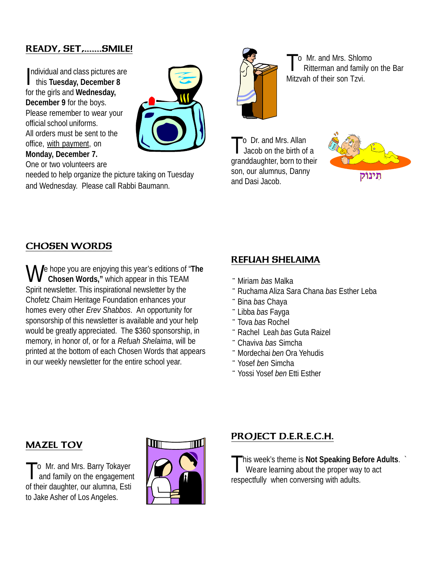## READY, SET,.......SMILE!

ndividual and class pictures are<br>this Tuesday, December 8 this **Tuesday, December 8** for the girls and **Wednesday, December 9** for the boys. Please remember to wear your official school uniforms. All orders must be sent to the office, with payment, on **Monday, December 7.** One or two volunteers are



needed to help organize the picture taking on Tuesday and Wednesday. Please call Rabbi Baumann.



To Mr. and Mrs. Shlomo Ritterman and family on the Bar Mitzvah of their son Tzvi.

o Dr. and Mrs. Allan Jacob on the birth of a granddaughter, born to their son, our alumnus, Danny and Dasi Jacob.



#### CHOSEN WORDS

**N** e hope you are enjoying this year's editions of "The  **Chosen Words,"** which appear in this TEAM Spirit newsletter. This inspirational newsletter by the Chofetz Chaim Heritage Foundation enhances your homes every other *Erev Shabbos*. An opportunity for sponsorship of this newsletter is available and your help would be greatly appreciated. The \$360 sponsorship, in memory, in honor of, or for a *Refuah Shelaima*, will be printed at the bottom of each Chosen Words that appears in our weekly newsletter for the entire school year.

#### REFUAH SHELAIMA

- ¨Miriam *bas* Malka
- ¨ Ruchama Aliza Sara Chana *bas* Esther Leba
- ¨ Bina *bas* Chaya
- ¨ Libba *bas* Fayga
- ¨ Tova *bas* Rochel
- ¨ Rachel Leah *bas* Guta Raizel
- ¨ Chaviva *bas* Simcha
- ¨Mordechai *ben* Ora Yehudis
- ¨ Yosef *ben* Simcha
- ¨ Yossi Yosef *ben* Etti Esther

#### MAZEL TOV

To Mr. and Mrs. Barry Tokayer<br>and family on the engagement of their daughter, our alumna, Esti to Jake Asher of Los Angeles.



## PROJECT D.E.R.E.C.H.

This week's theme is **Not Speaking Before Adults**. ` Weare learning about the proper way to act respectfully when conversing with adults.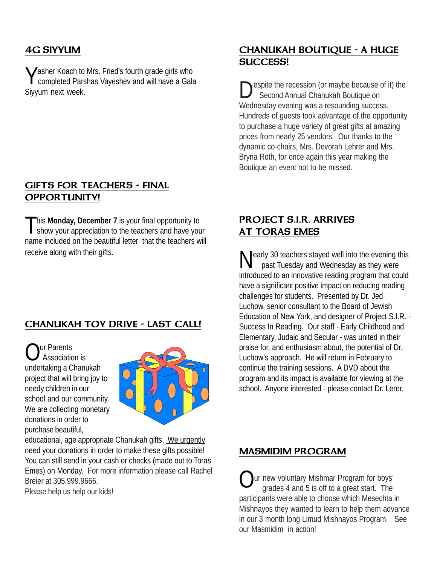## 4G SIYYUM

**Yasher Koach to Mrs. Fried's fourth grade girls who** completed Parshas Vayeshev and will have a Gala Siyyum next week.

#### GIFTS FOR TEACHERS - FINAL OPPORTUNITY!

This Monday, December 7 is your final opportunity to show your appreciation to the teachers and have your name included on the beautiful letter that the teachers will receive along with their gifts.

## CHANUKAH TOY DRIVE - LAST CALL!

**Nur Parents**  Association is undertaking a Chanukah project that will bring joy to needy children in our school and our community. We are collecting monetary donations in order to purchase beautiful,



educational, age appropriate Chanukah gifts. We urgently need your donations in order to make these gifts possible! You can still send in your cash or checks (made out to Toras Emes) on Monday. For more information please call Rachel Breier at 305.999.9666. Please help us help our kids!

## CHANUKAH BOUTIQUE - A HUGE SUCCESS!

espite the recession (or maybe because of it) the Second Annual Chanukah Boutique on Wednesday evening was a resounding success. Hundreds of guests took advantage of the opportunity to purchase a huge variety of great gifts at amazing prices from nearly 25 vendors. Our thanks to the dynamic co-chairs, Mrs. Devorah Lehrer and Mrs. Bryna Roth, for once again this year making the Boutique an event not to be missed.

## PROJECT S.I.R. ARRIVES AT TORAS EMES

**N** early 30 teachers stayed well into the evening this past Tuesday and Wednesday as they were introduced to an innovative reading program that could have a significant positive impact on reducing reading challenges for students. Presented by Dr. Jed Luchow, senior consultant to the Board of Jewish Education of New York, and designer of Project S.I.R. - Success In Reading. Our staff - Early Childhood and Elementary, Judaic and Secular - was united in their praise for, and enthusiasm about, the potential of Dr. Luchow's approach. He will return in February to continue the training sessions. A DVD about the program and its impact is available for viewing at the school. Anyone interested - please contact Dr. Lerer.

## MASMIDIM PROGRAM

ur new voluntary Mishmar Program for boys' grades 4 and 5 is off to a great start. The participants were able to choose which Mesechta in Mishnayos they wanted to learn to help them advance in our 3 month long Limud Mishnayos Program. See our Masmidim in action!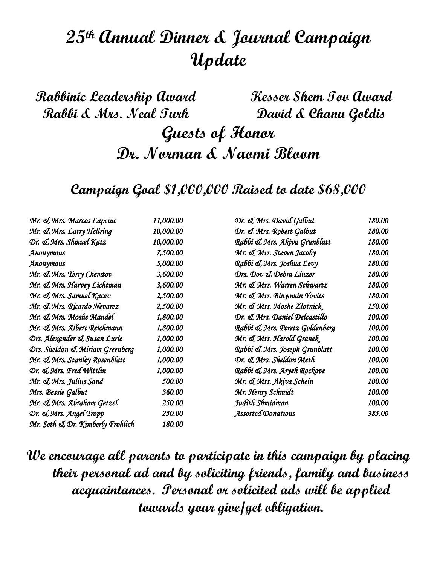# 25th Annual Dinner & Journal Campaign Update

Rabbinic Leadership Award Rabbi & Mrs. Neal Turk Kesser Shem Tov Award David & Chanu Goldis Guests of Honor Dr. Norman & Naomi Bloom

Campaign Goal \$1,000,000 Raised to date \$68,000

| Mr. & Mrs. Marcos Lapciuc        | 11,000.00 | Dr. & Mrs. David Galbut        | 180.00 |
|----------------------------------|-----------|--------------------------------|--------|
| Mr. & Mrs. Larry Hellring        | 10,000.00 | Dr. & Mrs. Robert Galbut       | 180.00 |
| Dr. & Mrs. Shmuel Katz           | 10,000.00 | Rabbi & Mrs. Akiva Grunblatt   | 180.00 |
| Anonymous                        | 7,500.00  | Mr. & Mrs. Steven Jacoby       | 180.00 |
| Anonymous                        | 5,000.00  | Rabbi & Mrs. Joshua Levy       | 180.00 |
| Mr. & Mrs. Terry Chemtov         | 3,600.00  | Drs. Dov & Debra Linzer        | 180.00 |
| Mr. & Mrs. Harvey Lichtman       | 3,600.00  | Mr. & Mrs. Warren Schwartz     | 180.00 |
| Mr. & Mrs. Samuel Kacev          | 2,500.00  | Mr. & Mrs. Binyomin Yovits     | 180.00 |
| Mr. & Mrs. Ricardo Nevarez       | 2,500.00  | Mr. & Mrs. Moshe Zlotnick      | 150.00 |
| Mr. & Mrs. Moshe Mandel          | 1,800.00  | Dr. & Mrs. Daniel Delcastillo  | 100.00 |
| Mr. & Mrs. Albert Reichmann      | 1,800.00  | Rabbi & Mrs. Peretz Goldenberg | 100.00 |
| Drs. Alexander & Susan Lurie     | 1,000.00  | Mr. & Mrs. Harold Granek.      | 100.00 |
| Drs. Sheldon & Miriam Greenberg  | 1,000.00  | Rabbi & Mrs. Joseph Grunblatt  | 100.00 |
| Mr. & Mrs. Stanley Rosenblatt    | 1,000.00  | Dr. & Mrs. Sheldon Meth        | 100.00 |
| Dr. & Mrs. Fred Wittlin          | 1,000.00  | Rabbi & Mrs. Aryeh Rockove     | 100.00 |
| Mr. & Mrs. Julius Sand           | 500.00    | Mr. & Mrs. Akiva Schein        | 100.00 |
| Mrs. Bessie Galbut               | 360.00    | Mr. Henry Schmidt              | 100.00 |
| Mr. & Mrs. Abraham Getzel        | 250.00    | Judith Shmidman                | 100.00 |
| Dr. & Mrs. Angel Tropp           | 250.00    | <b>Assorted Donations</b>      | 385.00 |
| Mr. Seth & Dr. Kimberly Frohlich | 180.00    |                                |        |

We encourage all parents to participate in this campaign by placing their personal ad and by soliciting friends, family and business acquaintances. Personal or solicited ads will be applied towards your give/get obligation.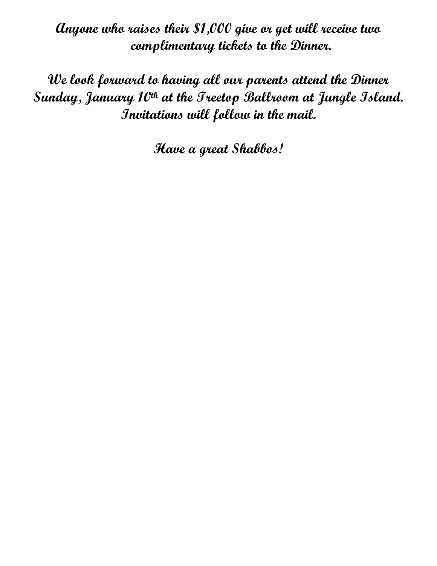Anyone who raises their \$1,000 give or get will receive two complimentary tickets to the Dinner.

We look forward to having all our parents attend the Dinner Sunday, January 10th at the Treetop Ballroom at Jungle Island. Invitations will follow in the mail.

Have a great Shabbos!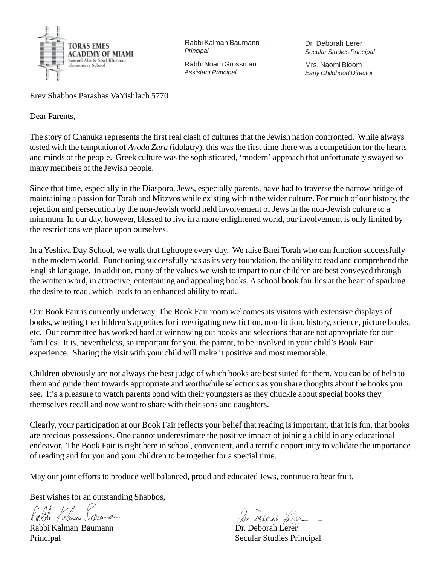

Rabbi Kalman Baumann *Principal*

Rabbi Noam Grossman *Assistant Principal*

Dr. Deborah Lerer *Secular Studies Principal*

Mrs. Naomi Bloom *Early Childhood Director*

Erev Shabbos Parashas VaYishlach 5770

Dear Parents,

The story of Chanuka represents the first real clash of cultures that the Jewish nation confronted. While always tested with the temptation of *Avoda Zara* (idolatry), this was the first time there was a competition for the hearts and minds of the people. Greek culture was the sophisticated, 'modern' approach that unfortunately swayed so many members of the Jewish people.

Since that time, especially in the Diaspora, Jews, especially parents, have had to traverse the narrow bridge of maintaining a passion for Torah and Mitzvos while existing within the wider culture. For much of our history, the rejection and persecution by the non-Jewish world held involvement of Jews in the non-Jewish culture to a minimum. In our day, however, blessed to live in a more enlightened world, our involvement is only limited by the restrictions we place upon ourselves.

In a Yeshiva Day School, we walk that tightrope every day. We raise Bnei Torah who can function successfully in the modern world. Functioning successfully has as its very foundation, the ability to read and comprehend the English language. In addition, many of the values we wish to impart to our children are best conveyed through the written word, in attractive, entertaining and appealing books. A school book fair lies at the heart of sparking the desire to read, which leads to an enhanced ability to read.

Our Book Fair is currently underway. The Book Fair room welcomes its visitors with extensive displays of books, whetting the children's appetites for investigating new fiction, non-fiction, history, science, picture books, etc. Our committee has worked hard at winnowing out books and selections that are not appropriate for our families. It is, nevertheless, so important for you, the parent, to be involved in your child's Book Fair experience. Sharing the visit with your child will make it positive and most memorable.

Children obviously are not always the best judge of which books are best suited for them. You can be of help to them and guide them towards appropriate and worthwhile selections as you share thoughts about the books you see. It's a pleasure to watch parents bond with their youngsters as they chuckle about special books they themselves recall and now want to share with their sons and daughters.

Clearly, your participation at our Book Fair reflects your belief that reading is important, that it is fun, that books are precious possessions. One cannot underestimate the positive impact of joining a child in any educational endeavor. The Book Fair is right here in school, convenient, and a terrific opportunity to validate the importance of reading and for you and your children to be together for a special time.

May our joint efforts to produce well balanced, proud and educated Jews, continue to bear fruit.

Best wishes for an outstanding Shabbos,

au

Rabbi Kalman Baumann Dr. Deborah Lerer

Principal Secular Studies Principal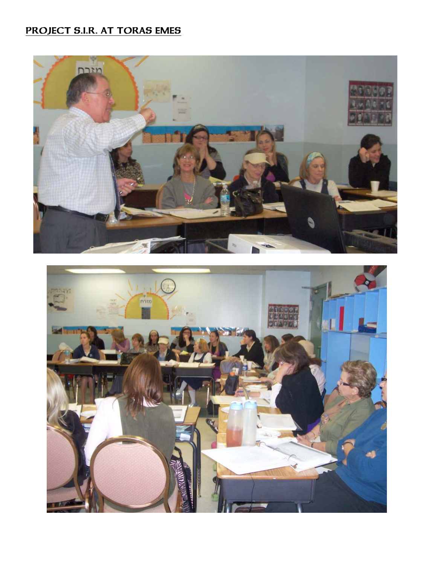# PROJECT S.I.R. AT TORAS EMES



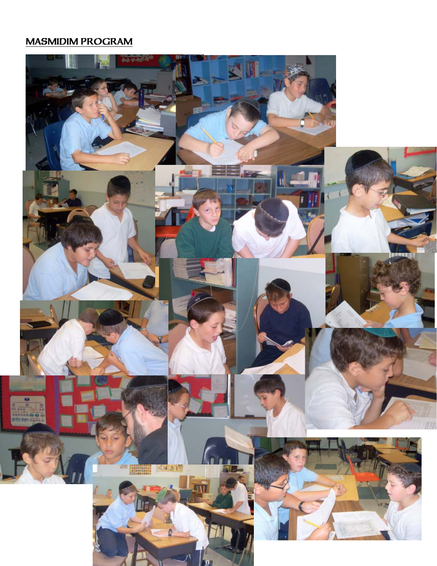## MASMIDIM PROGRAM